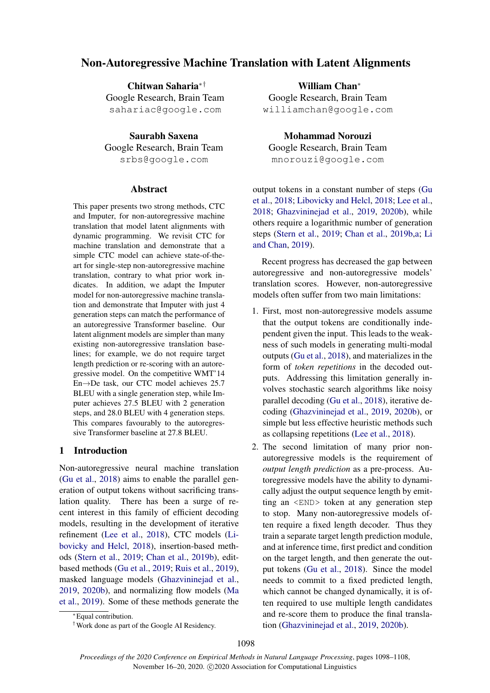# Non-Autoregressive Machine Translation with Latent Alignments

Chitwan Saharia∗† Google Research, Brain Team sahariac@google.com

Saurabh Saxena Google Research, Brain Team srbs@google.com

### Abstract

This paper presents two strong methods, CTC and Imputer, for non-autoregressive machine translation that model latent alignments with dynamic programming. We revisit CTC for machine translation and demonstrate that a simple CTC model can achieve state-of-theart for single-step non-autoregressive machine translation, contrary to what prior work indicates. In addition, we adapt the Imputer model for non-autoregressive machine translation and demonstrate that Imputer with just 4 generation steps can match the performance of an autoregressive Transformer baseline. Our latent alignment models are simpler than many existing non-autoregressive translation baselines; for example, we do not require target length prediction or re-scoring with an autoregressive model. On the competitive WMT'14 En→De task, our CTC model achieves 25.7 BLEU with a single generation step, while Imputer achieves 27.5 BLEU with 2 generation steps, and 28.0 BLEU with 4 generation steps. This compares favourably to the autoregressive Transformer baseline at 27.8 BLEU.

# 1 Introduction

Non-autoregressive neural machine translation [\(Gu et al.,](#page-9-0) [2018\)](#page-9-0) aims to enable the parallel generation of output tokens without sacrificing translation quality. There has been a surge of recent interest in this family of efficient decoding models, resulting in the development of iterative refinement [\(Lee et al.,](#page-9-1) [2018\)](#page-9-1), CTC models [\(Li](#page-9-2)[bovicky and Helcl,](#page-9-2) [2018\)](#page-9-2), insertion-based methods [\(Stern et al.,](#page-10-0) [2019;](#page-10-0) [Chan et al.,](#page-9-3) [2019b\)](#page-9-3), editbased methods [\(Gu et al.,](#page-9-4) [2019;](#page-9-4) [Ruis et al.,](#page-9-5) [2019\)](#page-9-5), masked language models [\(Ghazvininejad et al.,](#page-9-6) [2019,](#page-9-6) [2020b\)](#page-9-7), and normalizing flow models [\(Ma](#page-9-8) [et al.,](#page-9-8) [2019\)](#page-9-8). Some of these methods generate the

William Chan<sup>∗</sup> Google Research, Brain Team williamchan@google.com

Mohammad Norouzi Google Research, Brain Team mnorouzi@google.com

output tokens in a constant number of steps [\(Gu](#page-9-0) [et al.,](#page-9-0) [2018;](#page-9-0) [Libovicky and Helcl,](#page-9-2) [2018;](#page-9-2) [Lee et al.,](#page-9-1) [2018;](#page-9-1) [Ghazvininejad et al.,](#page-9-6) [2019,](#page-9-6) [2020b\)](#page-9-7), while others require a logarithmic number of generation steps [\(Stern et al.,](#page-10-0) [2019;](#page-10-0) [Chan et al.,](#page-9-3) [2019b](#page-9-3)[,a;](#page-8-0) [Li](#page-9-9) [and Chan,](#page-9-9) [2019\)](#page-9-9).

Recent progress has decreased the gap between autoregressive and non-autoregressive models' translation scores. However, non-autoregressive models often suffer from two main limitations:

- 1. First, most non-autoregressive models assume that the output tokens are conditionally independent given the input. This leads to the weakness of such models in generating multi-modal outputs [\(Gu et al.,](#page-9-0) [2018\)](#page-9-0), and materializes in the form of *token repetitions* in the decoded outputs. Addressing this limitation generally involves stochastic search algorithms like noisy parallel decoding [\(Gu et al.,](#page-9-0) [2018\)](#page-9-0), iterative decoding [\(Ghazvininejad et al.,](#page-9-6) [2019,](#page-9-6) [2020b\)](#page-9-7), or simple but less effective heuristic methods such as collapsing repetitions [\(Lee et al.,](#page-9-1) [2018\)](#page-9-1).
- 2. The second limitation of many prior nonautoregressive models is the requirement of *output length prediction* as a pre-process. Autoregressive models have the ability to dynamically adjust the output sequence length by emitting an <END> token at any generation step to stop. Many non-autoregressive models often require a fixed length decoder. Thus they train a separate target length prediction module, and at inference time, first predict and condition on the target length, and then generate the output tokens [\(Gu et al.,](#page-9-0) [2018\)](#page-9-0). Since the model needs to commit to a fixed predicted length, which cannot be changed dynamically, it is often required to use multiple length candidates and re-score them to produce the final translation [\(Ghazvininejad et al.,](#page-9-6) [2019,](#page-9-6) [2020b\)](#page-9-7).

<sup>∗</sup>Equal contribution.

<sup>†</sup>Work done as part of the Google AI Residency.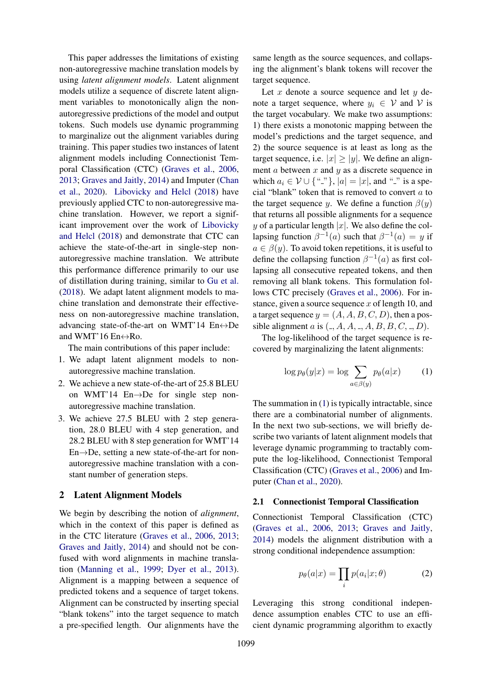This paper addresses the limitations of existing non-autoregressive machine translation models by using *latent alignment models*. Latent alignment models utilize a sequence of discrete latent alignment variables to monotonically align the nonautoregressive predictions of the model and output tokens. Such models use dynamic programming to marginalize out the alignment variables during training. This paper studies two instances of latent alignment models including Connectionist Temporal Classification (CTC) [\(Graves et al.,](#page-9-10) [2006,](#page-9-10) [2013;](#page-9-11) [Graves and Jaitly,](#page-9-12) [2014\)](#page-9-12) and Imputer [\(Chan](#page-9-13) [et al.,](#page-9-13) [2020\)](#page-9-13). [Libovicky and Helcl](#page-9-2) [\(2018\)](#page-9-2) have previously applied CTC to non-autoregressive machine translation. However, we report a significant improvement over the work of [Libovicky](#page-9-2) [and Helcl](#page-9-2) [\(2018\)](#page-9-2) and demonstrate that CTC can achieve the state-of-the-art in single-step nonautoregressive machine translation. We attribute this performance difference primarily to our use of distillation during training, similar to [Gu et al.](#page-9-0) [\(2018\)](#page-9-0). We adapt latent alignment models to machine translation and demonstrate their effectiveness on non-autoregressive machine translation, advancing state-of-the-art on WMT'14  $En \leftrightarrow De$ and WMT'16  $En \leftrightarrow Ro$ .

The main contributions of this paper include:

- 1. We adapt latent alignment models to nonautoregressive machine translation.
- 2. We achieve a new state-of-the-art of 25.8 BLEU on WMT'14 En→De for single step nonautoregressive machine translation.
- 3. We achieve 27.5 BLEU with 2 step generation, 28.0 BLEU with 4 step generation, and 28.2 BLEU with 8 step generation for WMT'14 En→De, setting a new state-of-the-art for nonautoregressive machine translation with a constant number of generation steps.

### <span id="page-1-1"></span>2 Latent Alignment Models

We begin by describing the notion of *alignment*, which in the context of this paper is defined as in the CTC literature [\(Graves et al.,](#page-9-10) [2006,](#page-9-10) [2013;](#page-9-11) [Graves and Jaitly,](#page-9-12) [2014\)](#page-9-12) and should not be confused with word alignments in machine translation [\(Manning et al.,](#page-9-14) [1999;](#page-9-14) [Dyer et al.,](#page-9-15) [2013\)](#page-9-15). Alignment is a mapping between a sequence of predicted tokens and a sequence of target tokens. Alignment can be constructed by inserting special "blank tokens" into the target sequence to match a pre-specified length. Our alignments have the same length as the source sequences, and collapsing the alignment's blank tokens will recover the target sequence.

Let  $x$  denote a source sequence and let  $y$  denote a target sequence, where  $y_i \in V$  and V is the target vocabulary. We make two assumptions: 1) there exists a monotonic mapping between the model's predictions and the target sequence, and 2) the source sequence is at least as long as the target sequence, i.e.  $|x| > |y|$ . We define an alignment  $a$  between  $x$  and  $y$  as a discrete sequence in which  $a_i \in V \cup \{\{\{\dots\}\}\}\$ ,  $|a| = |x|$ , and "<sup>"</sup>" is a special "blank" token that is removed to convert  $a$  to the target sequence y. We define a function  $\beta(y)$ that returns all possible alignments for a sequence y of a particular length |x|. We also define the collapsing function  $\beta^{-1}(a)$  such that  $\beta^{-1}(a) = y$  if  $a \in \beta(y)$ . To avoid token repetitions, it is useful to define the collapsing function  $\beta^{-1}(a)$  as first collapsing all consecutive repeated tokens, and then removing all blank tokens. This formulation follows CTC precisely [\(Graves et al.,](#page-9-10) [2006\)](#page-9-10). For instance, given a source sequence  $x$  of length 10, and a target sequence  $y = (A, A, B, C, D)$ , then a possible alignment a is  $(., A, A, ..., A, B, B, C, ..., D)$ .

The log-likelihood of the target sequence is recovered by marginalizing the latent alignments:

<span id="page-1-0"></span>
$$
\log p_{\theta}(y|x) = \log \sum_{a \in \beta(y)} p_{\theta}(a|x) \tag{1}
$$

The summation in [\(1\)](#page-1-0) is typically intractable, since there are a combinatorial number of alignments. In the next two sub-sections, we will briefly describe two variants of latent alignment models that leverage dynamic programming to tractably compute the log-likelihood, Connectionist Temporal Classification (CTC) [\(Graves et al.,](#page-9-10) [2006\)](#page-9-10) and Imputer [\(Chan et al.,](#page-9-13) [2020\)](#page-9-13).

### 2.1 Connectionist Temporal Classification

Connectionist Temporal Classification (CTC) [\(Graves et al.,](#page-9-10) [2006,](#page-9-10) [2013;](#page-9-11) [Graves and Jaitly,](#page-9-12) [2014\)](#page-9-12) models the alignment distribution with a strong conditional independence assumption:

$$
p_{\theta}(a|x) = \prod_{i} p(a_i|x; \theta)
$$
 (2)

Leveraging this strong conditional independence assumption enables CTC to use an efficient dynamic programming algorithm to exactly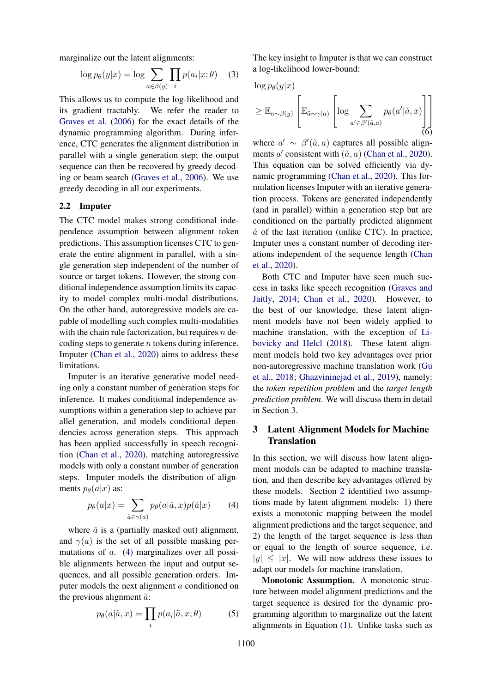marginalize out the latent alignments:

$$
\log p_{\theta}(y|x) = \log \sum_{a \in \beta(y)} \prod_{i} p(a_i|x; \theta) \quad (3)
$$

This allows us to compute the log-likelihood and its gradient tractably. We refer the reader to [Graves et al.](#page-9-10) [\(2006\)](#page-9-10) for the exact details of the dynamic programming algorithm. During inference, CTC generates the alignment distribution in parallel with a single generation step; the output sequence can then be recovered by greedy decoding or beam search [\(Graves et al.,](#page-9-10) [2006\)](#page-9-10). We use greedy decoding in all our experiments.

### 2.2 Imputer

The CTC model makes strong conditional independence assumption between alignment token predictions. This assumption licenses CTC to generate the entire alignment in parallel, with a single generation step independent of the number of source or target tokens. However, the strong conditional independence assumption limits its capacity to model complex multi-modal distributions. On the other hand, autoregressive models are capable of modelling such complex multi-modalities with the chain rule factorization, but requires  $n$  decoding steps to generate  $n$  tokens during inference. Imputer [\(Chan et al.,](#page-9-13) [2020\)](#page-9-13) aims to address these limitations.

Imputer is an iterative generative model needing only a constant number of generation steps for inference. It makes conditional independence assumptions within a generation step to achieve parallel generation, and models conditional dependencies across generation steps. This approach has been applied successfully in speech recognition [\(Chan et al.,](#page-9-13) [2020\)](#page-9-13), matching autoregressive models with only a constant number of generation steps. Imputer models the distribution of alignments  $p_{\theta}(a|x)$  as:

$$
p_{\theta}(a|x) = \sum_{\tilde{a} \in \gamma(a)} p_{\theta}(a|\tilde{a}, x) p(\tilde{a}|x) \tag{4}
$$

where  $\tilde{a}$  is a (partially masked out) alignment, and  $\gamma(a)$  is the set of all possible masking permutations of a. [\(4\)](#page-2-0) marginalizes over all possible alignments between the input and output sequences, and all possible generation orders. Imputer models the next alignment a conditioned on the previous alignment  $\tilde{a}$ :

$$
p_{\theta}(a|\tilde{a},x) = \prod_{i} p(a_i|\tilde{a},x;\theta)
$$
 (5)

The key insight to Imputer is that we can construct a log-likelihood lower-bound:

 $\log p_\theta(y|x)$ 

$$
\geq \mathbb{E}_{a \sim \beta(y)} \left[ \mathbb{E}_{\tilde{a} \sim \gamma(a)} \left[ \log \sum_{a' \in \beta'(\tilde{a}, a)} p_{\theta}(a' | \tilde{a}, x) \right] \right]
$$
(6)

where  $a' \sim \beta'(\tilde{a}, a)$  captures all possible alignments  $a'$  consistent with  $(\tilde{a}, a)$  [\(Chan et al.,](#page-9-13) [2020\)](#page-9-13). This equation can be solved efficiently via dynamic programming [\(Chan et al.,](#page-9-13) [2020\)](#page-9-13). This formulation licenses Imputer with an iterative generation process. Tokens are generated independently (and in parallel) within a generation step but are conditioned on the partially predicted alignment  $\tilde{a}$  of the last iteration (unlike CTC). In practice, Imputer uses a constant number of decoding iterations independent of the sequence length [\(Chan](#page-9-13) [et al.,](#page-9-13) [2020\)](#page-9-13).

Both CTC and Imputer have seen much success in tasks like speech recognition [\(Graves and](#page-9-12) [Jaitly,](#page-9-12) [2014;](#page-9-12) [Chan et al.,](#page-9-13) [2020\)](#page-9-13). However, to the best of our knowledge, these latent alignment models have not been widely applied to machine translation, with the exception of [Li](#page-9-2)[bovicky and Helcl](#page-9-2) [\(2018\)](#page-9-2). These latent alignment models hold two key advantages over prior non-autoregressive machine translation work [\(Gu](#page-9-0) [et al.,](#page-9-0) [2018;](#page-9-0) [Ghazvininejad et al.,](#page-9-6) [2019\)](#page-9-6), namely: the *token repetition problem* and the *target length prediction problem*. We will discuss them in detail in Section 3.

# <span id="page-2-1"></span>3 Latent Alignment Models for Machine **Translation**

<span id="page-2-0"></span>In this section, we will discuss how latent alignment models can be adapted to machine translation, and then describe key advantages offered by these models. Section [2](#page-1-1) identified two assumptions made by latent alignment models: 1) there exists a monotonic mapping between the model alignment predictions and the target sequence, and 2) the length of the target sequence is less than or equal to the length of source sequence, i.e.  $|y| \leq |x|$ . We will now address these issues to adapt our models for machine translation.

Monotonic Assumption. A monotonic structure between model alignment predictions and the target sequence is desired for the dynamic programming algorithm to marginalize out the latent alignments in Equation [\(1\)](#page-1-0). Unlike tasks such as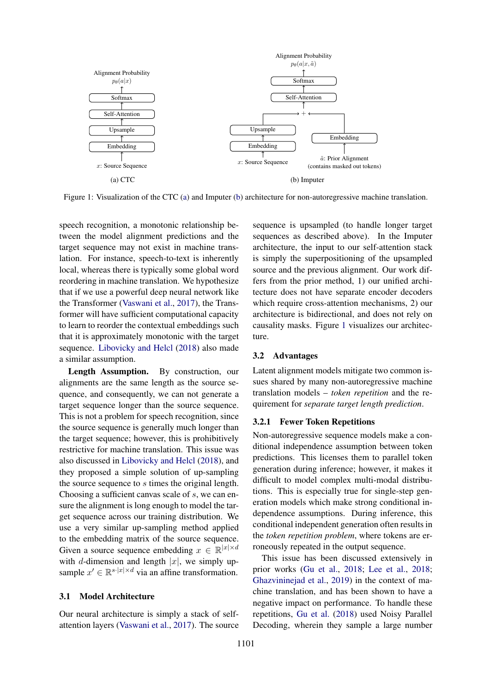<span id="page-3-0"></span>

Figure 1: Visualization of the CTC [\(a\)](#page-3-0) and Imputer [\(b\)](#page-3-0) architecture for non-autoregressive machine translation.

speech recognition, a monotonic relationship between the model alignment predictions and the target sequence may not exist in machine translation. For instance, speech-to-text is inherently local, whereas there is typically some global word reordering in machine translation. We hypothesize that if we use a powerful deep neural network like the Transformer [\(Vaswani et al.,](#page-10-1) [2017\)](#page-10-1), the Transformer will have sufficient computational capacity to learn to reorder the contextual embeddings such that it is approximately monotonic with the target sequence. [Libovicky and Helcl](#page-9-2) [\(2018\)](#page-9-2) also made a similar assumption.

Length Assumption. By construction, our alignments are the same length as the source sequence, and consequently, we can not generate a target sequence longer than the source sequence. This is not a problem for speech recognition, since the source sequence is generally much longer than the target sequence; however, this is prohibitively restrictive for machine translation. This issue was also discussed in [Libovicky and Helcl](#page-9-2) [\(2018\)](#page-9-2), and they proposed a simple solution of up-sampling the source sequence to s times the original length. Choosing a sufficient canvas scale of s, we can ensure the alignment is long enough to model the target sequence across our training distribution. We use a very similar up-sampling method applied to the embedding matrix of the source sequence. Given a source sequence embedding  $x \in \mathbb{R}^{|x| \times d}$ with d-dimension and length |x|, we simply upsample  $x' \in \mathbb{R}^{s \cdot |x| \times d}$  via an affine transformation.

#### 3.1 Model Architecture

Our neural architecture is simply a stack of selfattention layers [\(Vaswani et al.,](#page-10-1) [2017\)](#page-10-1). The source

sequence is upsampled (to handle longer target sequences as described above). In the Imputer architecture, the input to our self-attention stack is simply the superpositioning of the upsampled source and the previous alignment. Our work differs from the prior method, 1) our unified architecture does not have separate encoder decoders which require cross-attention mechanisms, 2) our architecture is bidirectional, and does not rely on causality masks. Figure [1](#page-3-0) visualizes our architecture.

### 3.2 Advantages

Latent alignment models mitigate two common issues shared by many non-autoregressive machine translation models – *token repetition* and the requirement for *separate target length prediction*.

### 3.2.1 Fewer Token Repetitions

Non-autoregressive sequence models make a conditional independence assumption between token predictions. This licenses them to parallel token generation during inference; however, it makes it difficult to model complex multi-modal distributions. This is especially true for single-step generation models which make strong conditional independence assumptions. During inference, this conditional independent generation often results in the *token repetition problem*, where tokens are erroneously repeated in the output sequence.

This issue has been discussed extensively in prior works [\(Gu et al.,](#page-9-0) [2018;](#page-9-0) [Lee et al.,](#page-9-1) [2018;](#page-9-1) [Ghazvininejad et al.,](#page-9-6) [2019\)](#page-9-6) in the context of machine translation, and has been shown to have a negative impact on performance. To handle these repetitions, [Gu et al.](#page-9-0) [\(2018\)](#page-9-0) used Noisy Parallel Decoding, wherein they sample a large number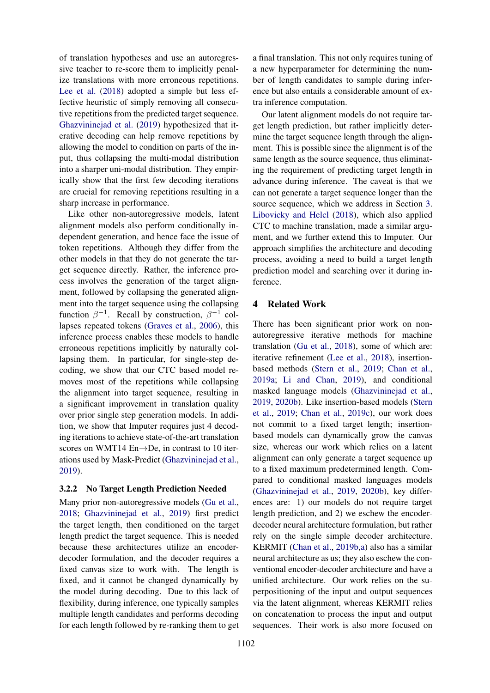of translation hypotheses and use an autoregressive teacher to re-score them to implicitly penalize translations with more erroneous repetitions. [Lee et al.](#page-9-1) [\(2018\)](#page-9-1) adopted a simple but less effective heuristic of simply removing all consecutive repetitions from the predicted target sequence. [Ghazvininejad et al.](#page-9-6) [\(2019\)](#page-9-6) hypothesized that iterative decoding can help remove repetitions by allowing the model to condition on parts of the input, thus collapsing the multi-modal distribution into a sharper uni-modal distribution. They empirically show that the first few decoding iterations are crucial for removing repetitions resulting in a sharp increase in performance.

Like other non-autoregressive models, latent alignment models also perform conditionally independent generation, and hence face the issue of token repetitions. Although they differ from the other models in that they do not generate the target sequence directly. Rather, the inference process involves the generation of the target alignment, followed by collapsing the generated alignment into the target sequence using the collapsing function  $\beta^{-1}$ . Recall by construction,  $\beta^{-1}$  collapses repeated tokens [\(Graves et al.,](#page-9-10) [2006\)](#page-9-10), this inference process enables these models to handle erroneous repetitions implicitly by naturally collapsing them. In particular, for single-step decoding, we show that our CTC based model removes most of the repetitions while collapsing the alignment into target sequence, resulting in a significant improvement in translation quality over prior single step generation models. In addition, we show that Imputer requires just 4 decoding iterations to achieve state-of-the-art translation scores on WMT14 En→De, in contrast to 10 iterations used by Mask-Predict [\(Ghazvininejad et al.,](#page-9-6) [2019\)](#page-9-6).

#### 3.2.2 No Target Length Prediction Needed

Many prior non-autoregressive models [\(Gu et al.,](#page-9-0) [2018;](#page-9-0) [Ghazvininejad et al.,](#page-9-6) [2019\)](#page-9-6) first predict the target length, then conditioned on the target length predict the target sequence. This is needed because these architectures utilize an encoderdecoder formulation, and the decoder requires a fixed canvas size to work with. The length is fixed, and it cannot be changed dynamically by the model during decoding. Due to this lack of flexibility, during inference, one typically samples multiple length candidates and performs decoding for each length followed by re-ranking them to get

a final translation. This not only requires tuning of a new hyperparameter for determining the number of length candidates to sample during inference but also entails a considerable amount of extra inference computation.

Our latent alignment models do not require target length prediction, but rather implicitly determine the target sequence length through the alignment. This is possible since the alignment is of the same length as the source sequence, thus eliminating the requirement of predicting target length in advance during inference. The caveat is that we can not generate a target sequence longer than the source sequence, which we address in Section [3.](#page-2-1) [Libovicky and Helcl](#page-9-2) [\(2018\)](#page-9-2), which also applied CTC to machine translation, made a similar argument, and we further extend this to Imputer. Our approach simplifies the architecture and decoding process, avoiding a need to build a target length prediction model and searching over it during inference.

## 4 Related Work

There has been significant prior work on nonautoregressive iterative methods for machine translation [\(Gu et al.,](#page-9-0) [2018\)](#page-9-0), some of which are: iterative refinement [\(Lee et al.,](#page-9-1) [2018\)](#page-9-1), insertionbased methods [\(Stern et al.,](#page-10-0) [2019;](#page-10-0) [Chan et al.,](#page-8-0) [2019a;](#page-8-0) [Li and Chan,](#page-9-9) [2019\)](#page-9-9), and conditional masked language models [\(Ghazvininejad et al.,](#page-9-6) [2019,](#page-9-6) [2020b\)](#page-9-7). Like insertion-based models [\(Stern](#page-10-0) [et al.,](#page-10-0) [2019;](#page-10-0) [Chan et al.,](#page-9-16) [2019c\)](#page-9-16), our work does not commit to a fixed target length; insertionbased models can dynamically grow the canvas size, whereas our work which relies on a latent alignment can only generate a target sequence up to a fixed maximum predetermined length. Compared to conditional masked languages models [\(Ghazvininejad et al.,](#page-9-6) [2019,](#page-9-6) [2020b\)](#page-9-7), key differences are: 1) our models do not require target length prediction, and 2) we eschew the encoderdecoder neural architecture formulation, but rather rely on the single simple decoder architecture. KERMIT [\(Chan et al.,](#page-9-3) [2019b](#page-9-3)[,a\)](#page-8-0) also has a similar neural architecture as us; they also eschew the conventional encoder-decoder architecture and have a unified architecture. Our work relies on the superpositioning of the input and output sequences via the latent alignment, whereas KERMIT relies on concatenation to process the input and output sequences. Their work is also more focused on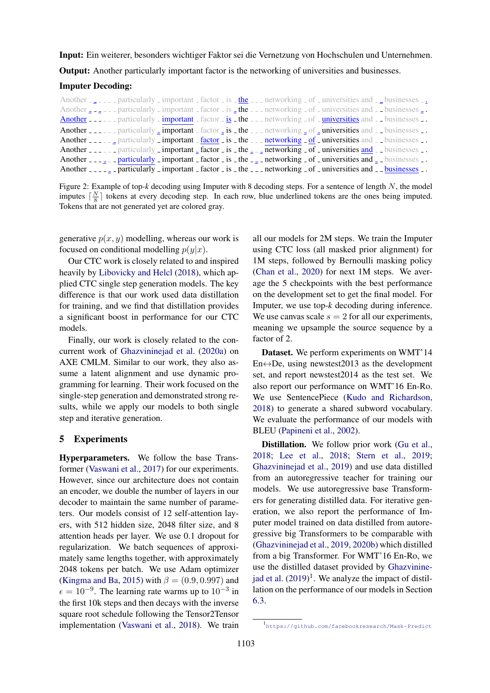<span id="page-5-0"></span>Input: Ein weiterer, besonders wichtiger Faktor sei die Vernetzung von Hochschulen und Unternehmen.

Output: Another particularly important factor is the networking of universities and businesses.

### Imputer Decoding:

Another  $\frac{1}{2}$  =  $\frac{1}{2}$  = particularly important factor is  $\frac{1}{2}$  the  $\frac{1}{2}$  networking of universities and  $\frac{1}{2}$  businesses  $\frac{1}{2}$ Another  $\epsilon_{\text{max}} = \epsilon_{\text{max}}$  important factor is  $\epsilon_{\text{max}}$  the  $\epsilon_{\text{max}}$  and  $\epsilon_{\text{max}}$  of universities and  $\epsilon_{\text{max}}$  businesses  $\epsilon_{\text{max}}$ Another  $\frac{1}{2}$  particularly important factor is the  $\frac{1}{2}$  the  $\frac{1}{2}$  networking of  $\frac{1}{2}$  universities and  $\frac{1}{2}$  businesses  $\frac{1}{2}$ . Another \_\_\_\_\_ particularly  $\frac{1}{2}$  important factor  $\frac{1}{2}$  is  $\frac{1}{2}$  the  $\frac{1}{2}$  networking  $\frac{1}{2}$  of  $\frac{1}{2}$  universities and  $\frac{1}{2}$  businesses  $\frac{1}{2}$ . Another  $\frac{1}{2}$  particularly important  $\frac{1}{2}$  factor is the  $\frac{1}{2}$  networking of universities and  $\frac{1}{2}$  businesses  $\frac{1}{2}$ . Another  $\frac{1}{2}$  particularly important factor is the  $\frac{1}{2}$  networking of universities and  $\frac{1}{2}$  businesses  $\frac{1}{2}$ . Another  $\frac{1}{2}$  =  $\frac{1}{2}$  =  $\frac{1}{2}$  particularly  $\frac{1}{2}$  important  $\frac{1}{2}$  factor  $\frac{1}{2}$  is  $\frac{1}{2}$  the  $\frac{1}{2}$  =  $\frac{1}{2}$  networking  $\frac{1}{2}$  of  $\frac{1}{2}$  universities and  $\frac{1}{2}$  =  $\frac{1}{2}$  busines Another  $\frac{1}{2}$  =  $\frac{1}{2}$  = particularly  $\frac{1}{2}$  important  $\frac{1}{2}$  factor  $\frac{1}{2}$  is  $\frac{1}{2}$  the  $\frac{1}{2}$  = networking  $\frac{1}{2}$  of  $\frac{1}{2}$  universities and  $\frac{1}{2}$  businesses  $\frac{1}{2}$ .

Figure 2: Example of top-*k* decoding using Imputer with 8 decoding steps. For a sentence of length N, the model imputes  $\lceil \frac{N}{8} \rceil$  tokens at every decoding step. In each row, blue underlined tokens are the ones being imputed. Tokens that are not generated yet are colored gray.

generative  $p(x, y)$  modelling, whereas our work is focused on conditional modelling  $p(y|x)$ .

Our CTC work is closely related to and inspired heavily by [Libovicky and Helcl](#page-9-2) [\(2018\)](#page-9-2), which applied CTC single step generation models. The key difference is that our work used data distillation for training, and we find that distillation provides a significant boost in performance for our CTC models.

Finally, our work is closely related to the concurrent work of [Ghazvininejad et al.](#page-9-17) [\(2020a\)](#page-9-17) on AXE CMLM. Similar to our work, they also assume a latent alignment and use dynamic programming for learning. Their work focused on the single-step generation and demonstrated strong results, while we apply our models to both single step and iterative generation.

#### 5 Experiments

Hyperparameters. We follow the base Transformer [\(Vaswani et al.,](#page-10-1) [2017\)](#page-10-1) for our experiments. However, since our architecture does not contain an encoder, we double the number of layers in our decoder to maintain the same number of parameters. Our models consist of 12 self-attention layers, with 512 hidden size, 2048 filter size, and 8 attention heads per layer. We use 0.1 dropout for regularization. We batch sequences of approximately same lengths together, with approximately 2048 tokens per batch. We use Adam optimizer [\(Kingma and Ba,](#page-9-18) [2015\)](#page-9-18) with  $\beta = (0.9, 0.997)$  and  $\epsilon = 10^{-9}$ . The learning rate warms up to  $10^{-3}$  in the first 10k steps and then decays with the inverse square root schedule following the Tensor2Tensor implementation [\(Vaswani et al.,](#page-10-2) [2018\)](#page-10-2). We train all our models for 2M steps. We train the Imputer using CTC loss (all masked prior alignment) for 1M steps, followed by Bernoulli masking policy [\(Chan et al.,](#page-9-13) [2020\)](#page-9-13) for next 1M steps. We average the 5 checkpoints with the best performance on the development set to get the final model. For Imputer, we use top-*k* decoding during inference. We use canvas scale  $s = 2$  for all our experiments, meaning we upsample the source sequence by a factor of 2.

Dataset. We perform experiments on WMT'14 En $\leftrightarrow$ De, using newstest2013 as the development set, and report newstest2014 as the test set. We also report our performance on WMT'16 En-Ro. We use SentencePiece [\(Kudo and Richardson,](#page-9-19) [2018\)](#page-9-19) to generate a shared subword vocabulary. We evaluate the performance of our models with BLEU [\(Papineni et al.,](#page-9-20) [2002\)](#page-9-20).

Distillation. We follow prior work [\(Gu et al.,](#page-9-0) [2018;](#page-9-0) [Lee et al.,](#page-9-1) [2018;](#page-9-1) [Stern et al.,](#page-10-0) [2019;](#page-10-0) [Ghazvininejad et al.,](#page-9-6) [2019\)](#page-9-6) and use data distilled from an autoregressive teacher for training our models. We use autoregressive base Transformers for generating distilled data. For iterative generation, we also report the performance of Imputer model trained on data distilled from autoregressive big Transformers to be comparable with [\(Ghazvininejad et al.,](#page-9-6) [2019,](#page-9-6) [2020b\)](#page-9-7) which distilled from a big Transformer. For WMT'16 En-Ro, we use the distilled dataset provided by [Ghazvinine](#page-9-6)[jad et al.](#page-9-6)  $(2019)^1$  $(2019)^1$ . We analyze the impact of distillation on the performance of our models in Section [6.3.](#page-8-1)

<sup>1</sup> <https://github.com/facebookresearch/Mask-Predict>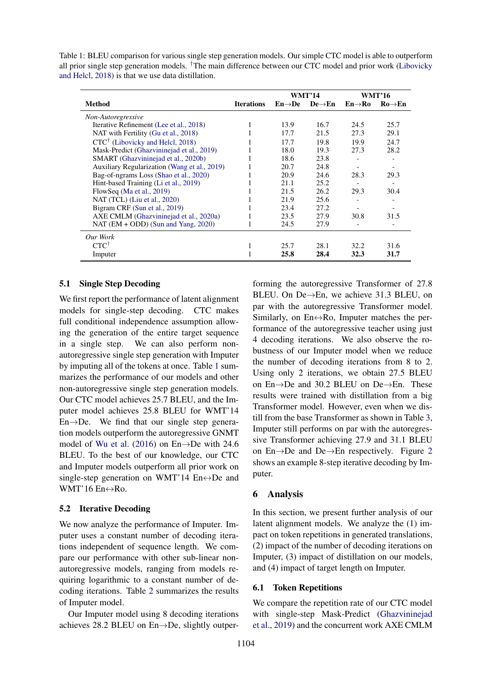<span id="page-6-0"></span>Table 1: BLEU comparison for various single step generation models. Our simple CTC model is able to outperform all prior single step generation models. †The main difference between our CTC model and prior work [\(Libovicky](#page-9-2) [and Helcl,](#page-9-2) [2018\)](#page-9-2) is that we use data distillation.

|                                              |                   | <b>WMT'14</b>       |                     | <b>WMT'16</b>       |                          |
|----------------------------------------------|-------------------|---------------------|---------------------|---------------------|--------------------------|
| <b>Method</b>                                | <b>Iterations</b> | $En \rightarrow De$ | $De \rightarrow En$ | $En \rightarrow Ro$ | $Ro \rightarrow En$      |
| Non-Autoregressive                           |                   |                     |                     |                     |                          |
| Iterative Refinement (Lee et al., 2018)      |                   | 13.9                | 16.7                | 24.5                | 25.7                     |
| NAT with Fertility (Gu et al., 2018)         |                   | 17.7                | 21.5                | 27.3                | 29.1                     |
| $CTC^{\dagger}$ (Libovicky and Helcl, 2018)  |                   | 17.7                | 19.8                | 19.9                | 24.7                     |
| Mask-Predict (Ghazvininejad et al., 2019)    |                   | 18.0                | 19.3                | 27.3                | 28.2                     |
| SMART (Ghazvininejad et al., 2020b)          |                   | 18.6                | 23.8                |                     | $\overline{\phantom{a}}$ |
| Auxiliary Regularization (Wang et al., 2019) |                   | 20.7                | 24.8                |                     |                          |
| Bag-of-ngrams Loss (Shao et al., 2020)       |                   | 20.9                | 24.6                | 28.3                | 29.3                     |
| Hint-based Training (Li et al., 2019)        |                   | 21.1                | 25.2                |                     |                          |
| FlowSeq (Ma et al., 2019)                    |                   | 21.5                | 26.2                | 29.3                | 30.4                     |
| NAT (TCL) (Liu et al., 2020)                 |                   | 21.9                | 25.6                |                     |                          |
| Bigram CRF (Sun et al., 2019)                |                   | 23.4                | 27.2                |                     |                          |
| AXE CMLM (Ghazvininejad et al., 2020a)       |                   | 23.5                | 27.9                | 30.8                | 31.5                     |
| NAT $(EM + ODD)$ (Sun and Yang, 2020)        |                   | 24.5                | 27.9                |                     |                          |
| Our Work                                     |                   |                     |                     |                     |                          |
| $CTC^{\dagger}$                              | 1                 | 25.7                | 28.1                | 32.2                | 31.6                     |
| Imputer                                      |                   | 25.8                | 28.4                | 32.3                | 31.7                     |

### 5.1 Single Step Decoding

We first report the performance of latent alignment models for single-step decoding. CTC makes full conditional independence assumption allowing the generation of the entire target sequence in a single step. We can also perform nonautoregressive single step generation with Imputer by imputing all of the tokens at once. Table [1](#page-6-0) summarizes the performance of our models and other non-autoregressive single step generation models. Our CTC model achieves 25.7 BLEU, and the Imputer model achieves 25.8 BLEU for WMT'14  $En \rightarrow De$ . We find that our single step generation models outperform the autoregressive GNMT model of [Wu et al.](#page-10-6) [\(2016\)](#page-10-6) on En→De with 24.6 BLEU. To the best of our knowledge, our CTC and Imputer models outperform all prior work on single-step generation on WMT'14  $En \leftrightarrow De$  and WMT'16  $En \leftrightarrow Ro$ .

### 5.2 Iterative Decoding

We now analyze the performance of Imputer. Imputer uses a constant number of decoding iterations independent of sequence length. We compare our performance with other sub-linear nonautoregressive models, ranging from models requiring logarithmic to a constant number of decoding iterations. Table [2](#page-7-0) summarizes the results of Imputer model.

Our Imputer model using 8 decoding iterations achieves 28.2 BLEU on En→De, slightly outperforming the autoregressive Transformer of 27.8 BLEU. On De→En, we achieve 31.3 BLEU, on par with the autoregressive Transformer model. Similarly, on  $En \leftrightarrow Ro$ , Imputer matches the performance of the autoregressive teacher using just 4 decoding iterations. We also observe the robustness of our Imputer model when we reduce the number of decoding iterations from 8 to 2. Using only 2 iterations, we obtain 27.5 BLEU on En→De and 30.2 BLEU on De→En. These results were trained with distillation from a big Transformer model. However, even when we distill from the base Transformer as shown in Table [3,](#page-7-1) Imputer still performs on par with the autoregressive Transformer achieving 27.9 and 31.1 BLEU on En→De and De→En respectively. Figure [2](#page-5-0) shows an example 8-step iterative decoding by Imputer.

### 6 Analysis

In this section, we present further analysis of our latent alignment models. We analyze the (1) impact on token repetitions in generated translations, (2) impact of the number of decoding iterations on Imputer, (3) impact of distillation on our models, and (4) impact of target length on Imputer.

#### 6.1 Token Repetitions

We compare the repetition rate of our CTC model with single-step Mask-Predict [\(Ghazvininejad](#page-9-6) [et al.,](#page-9-6) [2019\)](#page-9-6) and the concurrent work AXE CMLM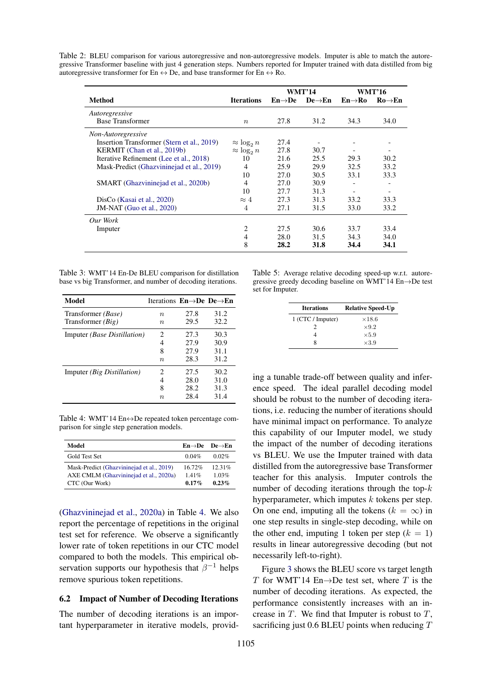<span id="page-7-0"></span>Table 2: BLEU comparison for various autoregressive and non-autoregressive models. Imputer is able to match the autoregressive Transformer baseline with just 4 generation steps. Numbers reported for Imputer trained with data distilled from big autoregressive transformer for En  $\leftrightarrow$  De, and base transformer for En  $\leftrightarrow$  Ro.

|                                            |                    | <b>WMT'14</b>       |                     | <b>WMT'16</b>            |                          |
|--------------------------------------------|--------------------|---------------------|---------------------|--------------------------|--------------------------|
| Method                                     | <b>Iterations</b>  | $En \rightarrow De$ | De $\rightarrow$ En | $En \rightarrow Ro$      | $Ro \rightarrow En$      |
| Autoregressive                             |                    |                     |                     |                          |                          |
| <b>Base Transformer</b>                    | $\boldsymbol{n}$   | 27.8                | 31.2                | 34.3                     | 34.0                     |
| Non-Autoregressive                         |                    |                     |                     |                          |                          |
| Insertion Transformer (Stern et al., 2019) | $\approx \log_2 n$ | 27.4                |                     |                          |                          |
| KERMIT (Chan et al., 2019b)                | $\approx \log_2 n$ | 27.8                | 30.7                |                          | -                        |
| Iterative Refinement (Lee et al., 2018)    | 10                 | 21.6                | 25.5                | 29.3                     | 30.2                     |
| Mask-Predict (Ghazvininejad et al., 2019)  | $\overline{4}$     | 25.9                | 29.9                | 32.5                     | 33.2                     |
|                                            | 10                 | 27.0                | 30.5                | 33.1                     | 33.3                     |
| SMART (Ghazvininejad et al., 2020b)        | $\overline{4}$     | 27.0                | 30.9                |                          | $\qquad \qquad$          |
|                                            | 10                 | 27.7                | 31.3                | $\overline{\phantom{a}}$ | $\overline{\phantom{a}}$ |
| DisCo (Kasai et al., 2020)                 | $\approx 4$        | 27.3                | 31.3                | 33.2                     | 33.3                     |
| <b>JM-NAT</b> (Guo et al., 2020)           | 4                  | 27.1                | 31.5                | 33.0                     | 33.2                     |
| Our Work                                   |                    |                     |                     |                          |                          |
| Imputer                                    | 2                  | 27.5                | 30.6                | 33.7                     | 33.4                     |
|                                            | $\overline{4}$     | 28.0                | 31.5                | 34.3                     | 34.0                     |
|                                            | 8                  | 28.2                | 31.8                | 34.4                     | 34.1                     |

<span id="page-7-1"></span>

| Table 3: WMT'14 En-De BLEU comparison for distillation      |  |
|-------------------------------------------------------------|--|
| base vs big Transformer, and number of decoding iterations. |  |

| Model                             | Iterations $En \rightarrow De$ De $\rightarrow En$ |      |      |
|-----------------------------------|----------------------------------------------------|------|------|
| Transformer <i>(Base)</i>         | $\boldsymbol{n}$                                   | 27.8 | 31.2 |
| Transformer <i>(Big)</i>          | $\boldsymbol{n}$                                   | 29.5 | 32.2 |
| Imputer (Base Distillation)       | 2                                                  | 27.3 | 30.3 |
|                                   | 4                                                  | 27.9 | 30.9 |
|                                   | 8                                                  | 27.9 | 31.1 |
|                                   | $\boldsymbol{n}$                                   | 28.3 | 31.2 |
| Imputer <i>(Big Distillation)</i> | $\mathcal{D}_{\mathcal{L}}$                        | 27.5 | 30.2 |
|                                   | 4                                                  | 28.0 | 31.0 |
|                                   | 8                                                  | 28.2 | 31.3 |
|                                   | $\boldsymbol{n}$                                   | 28.4 | 31.4 |

<span id="page-7-2"></span>Table 4: WMT'14 En↔De repeated token percentage comparison for single step generation models.

| Model                                     | $En \rightarrow De$ De $\rightarrow En$ |        |
|-------------------------------------------|-----------------------------------------|--------|
| Gold Test Set                             | 0.04%                                   | 0.02%  |
| Mask-Predict (Ghazvininejad et al., 2019) | 1672%                                   | 12.31% |
| AXE CMLM (Ghazvininejad et al., 2020a)    | 141%                                    | 1.03%  |
| CTC (Our Work)                            | $0.17\%$                                | 0.23%  |

[\(Ghazvininejad et al.,](#page-9-17) [2020a\)](#page-9-17) in Table [4.](#page-7-2) We also report the percentage of repetitions in the original test set for reference. We observe a significantly lower rate of token repetitions in our CTC model compared to both the models. This empirical observation supports our hypothesis that  $\beta^{-1}$  helps remove spurious token repetitions.

# 6.2 Impact of Number of Decoding Iterations

The number of decoding iterations is an important hyperparameter in iterative models, provid-

Table 5: Average relative decoding speed-up w.r.t. autoregressive greedy decoding baseline on WMT'14 En→De test set for Imputer.

| <b>Iterations</b> | <b>Relative Speed-Up</b> |
|-------------------|--------------------------|
| 1 (CTC / Imputer) | $\times$ 18.6            |
|                   | $\times 9.2$             |
|                   | $\times 5.9$             |
|                   | $\times3.9$              |
|                   |                          |

ing a tunable trade-off between quality and inference speed. The ideal parallel decoding model should be robust to the number of decoding iterations, i.e. reducing the number of iterations should have minimal impact on performance. To analyze this capability of our Imputer model, we study the impact of the number of decoding iterations vs BLEU. We use the Imputer trained with data distilled from the autoregressive base Transformer teacher for this analysis. Imputer controls the number of decoding iterations through the top- $k$ hyperparameter, which imputes  $k$  tokens per step. On one end, imputing all the tokens  $(k = \infty)$  in one step results in single-step decoding, while on the other end, imputing 1 token per step  $(k = 1)$ results in linear autoregressive decoding (but not necessarily left-to-right).

Figure [3](#page-8-2) shows the BLEU score vs target length T for WMT'14 En $\rightarrow$ De test set, where T is the number of decoding iterations. As expected, the performance consistently increases with an increase in  $T$ . We find that Imputer is robust to  $T$ , sacrificing just 0.6 BLEU points when reducing  $T$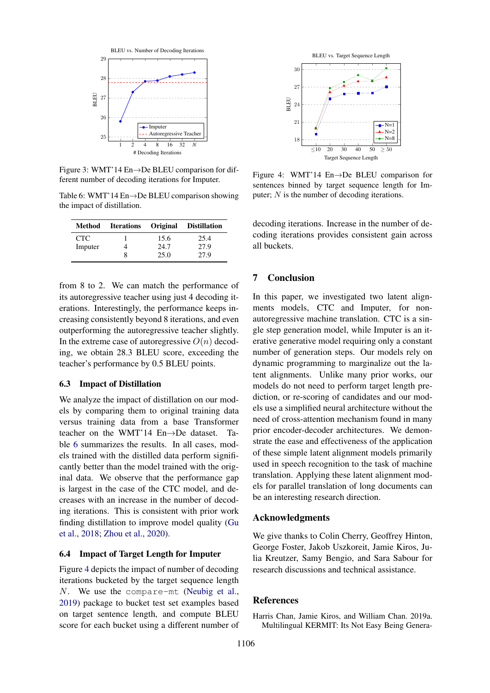<span id="page-8-2"></span>

Figure 3: WMT'14 En→De BLEU comparison for different number of decoding iterations for Imputer.

<span id="page-8-3"></span>Table 6: WMT'14 En→De BLEU comparison showing the impact of distillation.

| Method  | <b>Iterations</b> Original |      | Distillation |
|---------|----------------------------|------|--------------|
| CTC.    |                            | 15.6 | 25.4         |
| Imputer |                            | 24.7 | 27.9         |
|         | x                          | 25.0 | 27.9         |

from 8 to 2. We can match the performance of its autoregressive teacher using just 4 decoding iterations. Interestingly, the performance keeps increasing consistently beyond 8 iterations, and even outperforming the autoregressive teacher slightly. In the extreme case of autoregressive  $O(n)$  decoding, we obtain 28.3 BLEU score, exceeding the teacher's performance by 0.5 BLEU points.

### <span id="page-8-1"></span>6.3 Impact of Distillation

We analyze the impact of distillation on our models by comparing them to original training data versus training data from a base Transformer teacher on the WMT'14 En→De dataset. Table [6](#page-8-3) summarizes the results. In all cases, models trained with the distilled data perform significantly better than the model trained with the original data. We observe that the performance gap is largest in the case of the CTC model, and decreases with an increase in the number of decoding iterations. This is consistent with prior work finding distillation to improve model quality [\(Gu](#page-9-0) [et al.,](#page-9-0) [2018;](#page-9-0) [Zhou et al.,](#page-10-7) [2020\)](#page-10-7).

### 6.4 Impact of Target Length for Imputer

Figure [4](#page-8-4) depicts the impact of number of decoding iterations bucketed by the target sequence length N. We use the compare-mt [\(Neubig et al.,](#page-9-26) [2019\)](#page-9-26) package to bucket test set examples based on target sentence length, and compute BLEU score for each bucket using a different number of

<span id="page-8-4"></span>

Figure 4: WMT'14 En→De BLEU comparison for sentences binned by target sequence length for Imputer;  $N$  is the number of decoding iterations.

decoding iterations. Increase in the number of decoding iterations provides consistent gain across all buckets.

# 7 Conclusion

In this paper, we investigated two latent alignments models, CTC and Imputer, for nonautoregressive machine translation. CTC is a single step generation model, while Imputer is an iterative generative model requiring only a constant number of generation steps. Our models rely on dynamic programming to marginalize out the latent alignments. Unlike many prior works, our models do not need to perform target length prediction, or re-scoring of candidates and our models use a simplified neural architecture without the need of cross-attention mechanism found in many prior encoder-decoder architectures. We demonstrate the ease and effectiveness of the application of these simple latent alignment models primarily used in speech recognition to the task of machine translation. Applying these latent alignment models for parallel translation of long documents can be an interesting research direction.

### Acknowledgments

We give thanks to Colin Cherry, Geoffrey Hinton, George Foster, Jakob Uszkoreit, Jamie Kiros, Julia Kreutzer, Samy Bengio, and Sara Sabour for research discussions and technical assistance.

### **References**

<span id="page-8-0"></span>Harris Chan, Jamie Kiros, and William Chan. 2019a. Multilingual KERMIT: Its Not Easy Being Genera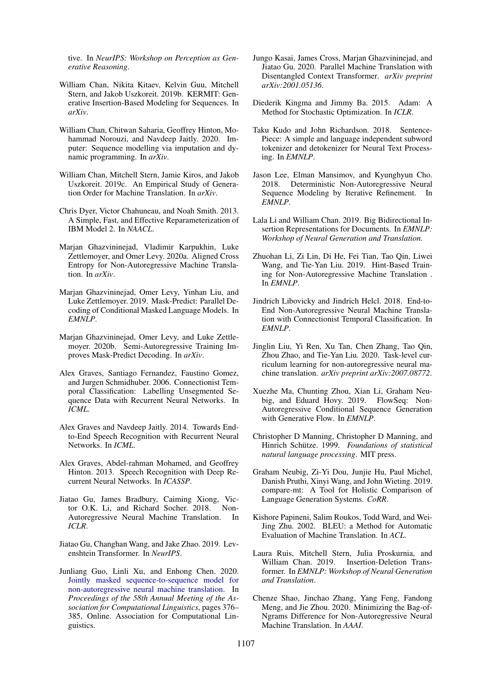tive. In *NeurIPS: Workshop on Perception as Generative Reasoning*.

- <span id="page-9-3"></span>William Chan, Nikita Kitaev, Kelvin Guu, Mitchell Stern, and Jakob Uszkoreit. 2019b. KERMIT: Generative Insertion-Based Modeling for Sequences. In *arXiv*.
- <span id="page-9-13"></span>William Chan, Chitwan Saharia, Geoffrey Hinton, Mohammad Norouzi, and Navdeep Jaitly. 2020. Imputer: Sequence modelling via imputation and dynamic programming. In *arXiv*.
- <span id="page-9-16"></span>William Chan, Mitchell Stern, Jamie Kiros, and Jakob Uszkoreit. 2019c. An Empirical Study of Generation Order for Machine Translation. In *arXiv*.
- <span id="page-9-15"></span>Chris Dyer, Victor Chahuneau, and Noah Smith. 2013. A Simple, Fast, and Effective Reparameterization of IBM Model 2. In *NAACL*.
- <span id="page-9-17"></span>Marjan Ghazvininejad, Vladimir Karpukhin, Luke Zettlemoyer, and Omer Levy. 2020a. Aligned Cross Entropy for Non-Autoregressive Machine Translation. In *arXiv*.
- <span id="page-9-6"></span>Marjan Ghazvininejad, Omer Levy, Yinhan Liu, and Luke Zettlemoyer. 2019. Mask-Predict: Parallel Decoding of Conditional Masked Language Models. In *EMNLP*.
- <span id="page-9-7"></span>Marjan Ghazvininejad, Omer Levy, and Luke Zettlemoyer. 2020b. Semi-Autoregressive Training Improves Mask-Predict Decoding. In *arXiv*.
- <span id="page-9-10"></span>Alex Graves, Santiago Fernandez, Faustino Gomez, and Jurgen Schmidhuber. 2006. Connectionist Temporal Classification: Labelling Unsegmented Sequence Data with Recurrent Neural Networks. In *ICML*.
- <span id="page-9-12"></span>Alex Graves and Navdeep Jaitly. 2014. Towards Endto-End Speech Recognition with Recurrent Neural Networks. In *ICML*.
- <span id="page-9-11"></span>Alex Graves, Abdel-rahman Mohamed, and Geoffrey Hinton. 2013. Speech Recognition with Deep Recurrent Neural Networks. In *ICASSP*.
- <span id="page-9-0"></span>Jiatao Gu, James Bradbury, Caiming Xiong, Victor O.K. Li, and Richard Socher. 2018. Non-Autoregressive Neural Machine Translation. In *ICLR*.
- <span id="page-9-4"></span>Jiatao Gu, Changhan Wang, and Jake Zhao. 2019. Levenshtein Transformer. In *NeurIPS*.
- <span id="page-9-25"></span>Junliang Guo, Linli Xu, and Enhong Chen. 2020. [Jointly masked sequence-to-sequence model for](https://doi.org/10.18653/v1/2020.acl-main.36) [non-autoregressive neural machine translation.](https://doi.org/10.18653/v1/2020.acl-main.36) In *Proceedings of the 58th Annual Meeting of the Association for Computational Linguistics*, pages 376– 385, Online. Association for Computational Linguistics.
- <span id="page-9-24"></span>Jungo Kasai, James Cross, Marjan Ghazvininejad, and Jiatao Gu. 2020. Parallel Machine Translation with Disentangled Context Transformer. *arXiv preprint arXiv:2001.05136*.
- <span id="page-9-18"></span>Diederik Kingma and Jimmy Ba. 2015. Adam: A Method for Stochastic Optimization. In *ICLR*.
- <span id="page-9-19"></span>Taku Kudo and John Richardson. 2018. Sentence-Piece: A simple and language independent subword tokenizer and detokenizer for Neural Text Processing. In *EMNLP*.
- <span id="page-9-1"></span>Jason Lee, Elman Mansimov, and Kyunghyun Cho. 2018. Deterministic Non-Autoregressive Neural Sequence Modeling by Iterative Refinement. In *EMNLP*.
- <span id="page-9-9"></span>Lala Li and William Chan. 2019. Big Bidirectional Insertion Representations for Documents. In *EMNLP: Workshop of Neural Generation and Translation*.
- <span id="page-9-22"></span>Zhuohan Li, Zi Lin, Di He, Fei Tian, Tao Qin, Liwei Wang, and Tie-Yan Liu. 2019. Hint-Based Training for Non-Autoregressive Machine Translation . In *EMNLP*.
- <span id="page-9-2"></span>Jindrich Libovicky and Jindrich Helcl. 2018. End-to-End Non-Autoregressive Neural Machine Translation with Connectionist Temporal Classification. In *EMNLP*.
- <span id="page-9-23"></span>Jinglin Liu, Yi Ren, Xu Tan, Chen Zhang, Tao Qin, Zhou Zhao, and Tie-Yan Liu. 2020. Task-level curriculum learning for non-autoregressive neural machine translation. *arXiv preprint arXiv:2007.08772*.
- <span id="page-9-8"></span>Xuezhe Ma, Chunting Zhou, Xian Li, Graham Neubig, and Eduard Hovy. 2019. FlowSeq: Non-Autoregressive Conditional Sequence Generation with Generative Flow. In *EMNLP*.
- <span id="page-9-14"></span>Christopher D Manning, Christopher D Manning, and Hinrich Schütze. 1999. Foundations of statistical *natural language processing*. MIT press.
- <span id="page-9-26"></span>Graham Neubig, Zi-Yi Dou, Junjie Hu, Paul Michel, Danish Pruthi, Xinyi Wang, and John Wieting. 2019. compare-mt: A Tool for Holistic Comparison of Language Generation Systems. *CoRR*.
- <span id="page-9-20"></span>Kishore Papineni, Salim Roukos, Todd Ward, and Wei-Jing Zhu. 2002. BLEU: a Method for Automatic Evaluation of Machine Translation. In *ACL*.
- <span id="page-9-5"></span>Laura Ruis, Mitchell Stern, Julia Proskurnia, and William Chan. 2019. Insertion-Deletion Transformer. In *EMNLP: Workshop of Neural Generation and Translation*.
- <span id="page-9-21"></span>Chenze Shao, Jinchao Zhang, Yang Feng, Fandong Meng, and Jie Zhou. 2020. Minimizing the Bag-of-Ngrams Difference for Non-Autoregressive Neural Machine Translation. In *AAAI*.